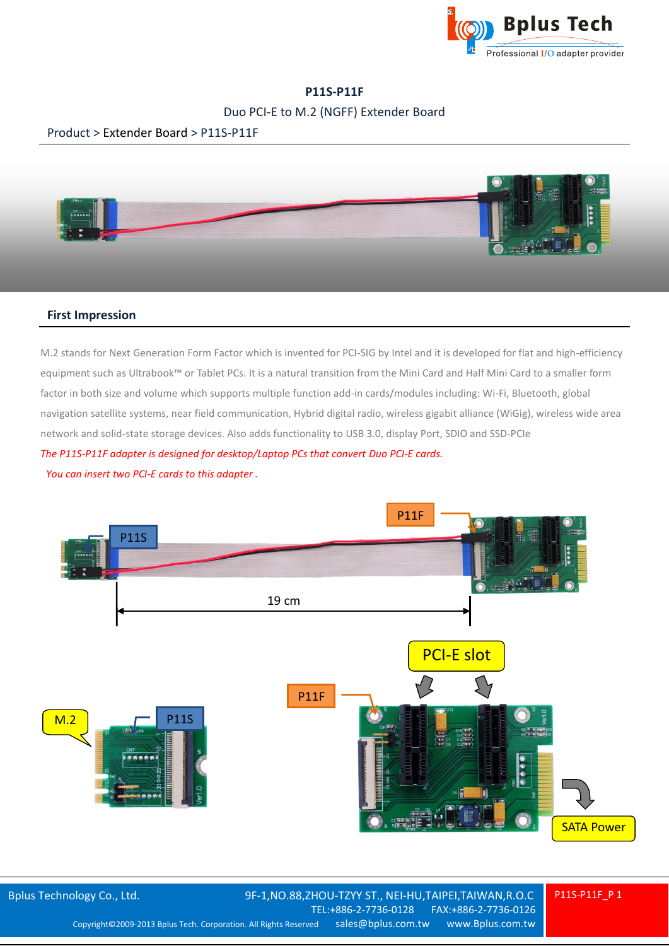

# **P11S-P11F**

## Duo PCI-E to M.2 (NGFF) Extender Board

## Product > Extender Board > P11S-P11F



#### **First Impression**

M.2 stands for Next Generation Form Factor which is invented for PCI-SIG by Intel and it is developed for flat and high-efficiency equipment such as Ultrabook™ or Tablet PCs. It is a natural transition from the Mini Card and Half Mini Card to a smaller form factor in both size and volume which supports multiple function add-in cards/modules including: Wi-Fi, Bluetooth, global navigation satellite systems, near field communication, Hybrid digital radio, wireless gigabit alliance (WiGig), wireless wide area network and solid-state storage devices. Also adds functionality to USB 3.0, display Port, SDIO and SSD-PCIe *The P11S-P11F adapter is designed for desktop/Laptop PCs that convert Duo PCI-E cards. You can insert two PCI-E cards to this adapter .*



P11S-P11F\_P 1